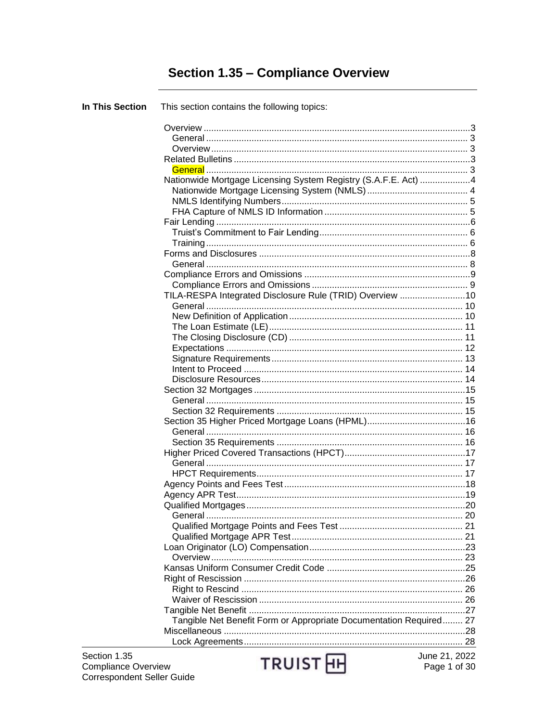# **Section 1.35 - Compliance Overview**

| <b>In This Section</b> | This section contains the following topics:                        |  |
|------------------------|--------------------------------------------------------------------|--|
|                        |                                                                    |  |
|                        |                                                                    |  |
|                        |                                                                    |  |
|                        |                                                                    |  |
|                        |                                                                    |  |
|                        | Nationwide Mortgage Licensing System Registry (S.A.F.E. Act) 4     |  |
|                        |                                                                    |  |
|                        |                                                                    |  |
|                        |                                                                    |  |
|                        |                                                                    |  |
|                        |                                                                    |  |
|                        |                                                                    |  |
|                        |                                                                    |  |
|                        |                                                                    |  |
|                        |                                                                    |  |
|                        |                                                                    |  |
|                        | TILA-RESPA Integrated Disclosure Rule (TRID) Overview 10           |  |
|                        |                                                                    |  |
|                        |                                                                    |  |
|                        |                                                                    |  |
|                        |                                                                    |  |
|                        |                                                                    |  |
|                        |                                                                    |  |
|                        |                                                                    |  |
|                        |                                                                    |  |
|                        |                                                                    |  |
|                        |                                                                    |  |
|                        |                                                                    |  |
|                        |                                                                    |  |
|                        |                                                                    |  |
|                        |                                                                    |  |
|                        |                                                                    |  |
|                        |                                                                    |  |
|                        |                                                                    |  |
|                        |                                                                    |  |
|                        |                                                                    |  |
|                        |                                                                    |  |
|                        |                                                                    |  |
|                        |                                                                    |  |
|                        |                                                                    |  |
|                        |                                                                    |  |
|                        |                                                                    |  |
|                        |                                                                    |  |
|                        |                                                                    |  |
|                        |                                                                    |  |
|                        |                                                                    |  |
|                        |                                                                    |  |
|                        | Tangible Net Benefit Form or Appropriate Documentation Required 27 |  |
|                        |                                                                    |  |
|                        |                                                                    |  |
|                        |                                                                    |  |

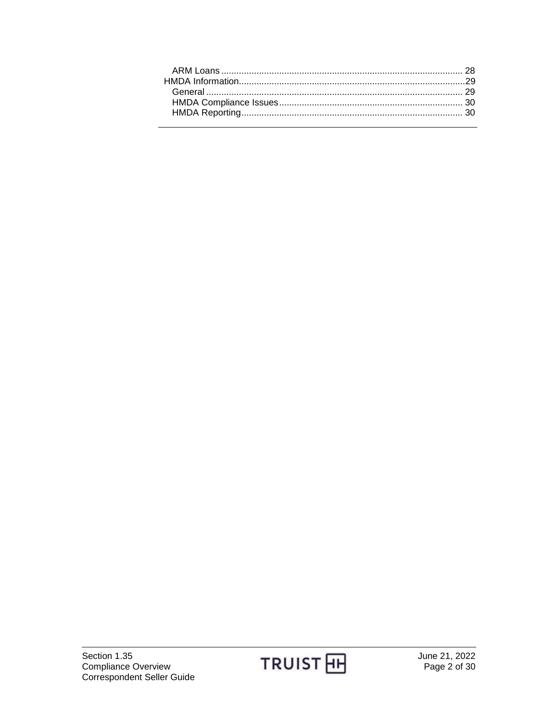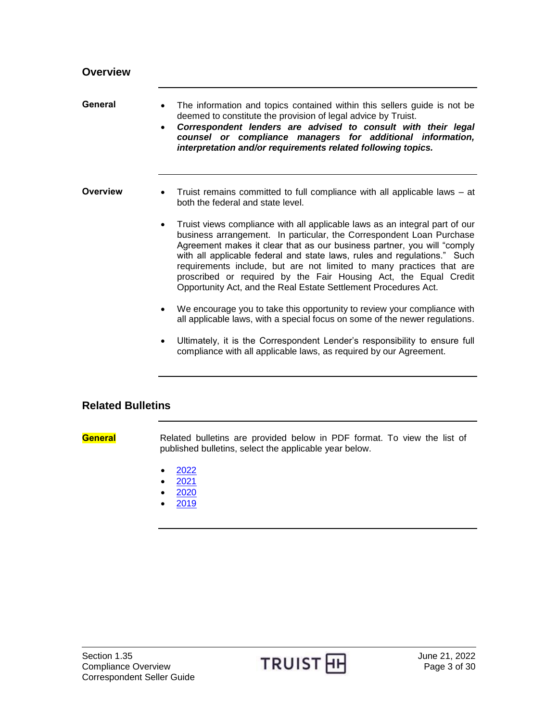<span id="page-2-2"></span><span id="page-2-1"></span><span id="page-2-0"></span>

| General         | The information and topics contained within this sellers guide is not be<br>deemed to constitute the provision of legal advice by Truist.<br>Correspondent lenders are advised to consult with their legal<br>counsel or compliance managers for additional information,<br>interpretation and/or requirements related following topics.                                                                                                                                                                                  |
|-----------------|---------------------------------------------------------------------------------------------------------------------------------------------------------------------------------------------------------------------------------------------------------------------------------------------------------------------------------------------------------------------------------------------------------------------------------------------------------------------------------------------------------------------------|
| <b>Overview</b> | Truist remains committed to full compliance with all applicable laws – at<br>both the federal and state level.                                                                                                                                                                                                                                                                                                                                                                                                            |
|                 | Truist views compliance with all applicable laws as an integral part of our<br>business arrangement. In particular, the Correspondent Loan Purchase<br>Agreement makes it clear that as our business partner, you will "comply<br>with all applicable federal and state laws, rules and regulations." Such<br>requirements include, but are not limited to many practices that are<br>proscribed or required by the Fair Housing Act, the Equal Credit<br>Opportunity Act, and the Real Estate Settlement Procedures Act. |
|                 | We encourage you to take this opportunity to review your compliance with<br>all applicable laws, with a special focus on some of the newer regulations.                                                                                                                                                                                                                                                                                                                                                                   |
|                 | Ultimately, it is the Correspondent Lender's responsibility to ensure full<br>compliance with all applicable laws, as required by our Agreement.                                                                                                                                                                                                                                                                                                                                                                          |

### <span id="page-2-3"></span>**Related Bulletins**

<span id="page-2-4"></span>**General** Related bulletins are provided below in PDF format. To view the list of published bulletins, select the applicable year below.

- $\bullet$  [2022](http://www.truistsellerguide.com/manual/cor/bulletins/related%20bulletins/2022/CSTMCompliance2022.pdf)
- $2021$  $2021$
- [2020](http://www.truistsellerguide.com/manual/cor/bulletins/related%20bulletins/2020/CSTMCompliance2020.pdf)
- [2019](http://www.truistsellerguide.com/manual/cor/bulletins/related%20bulletins/2020/CSTMCompliance2020.pdf)

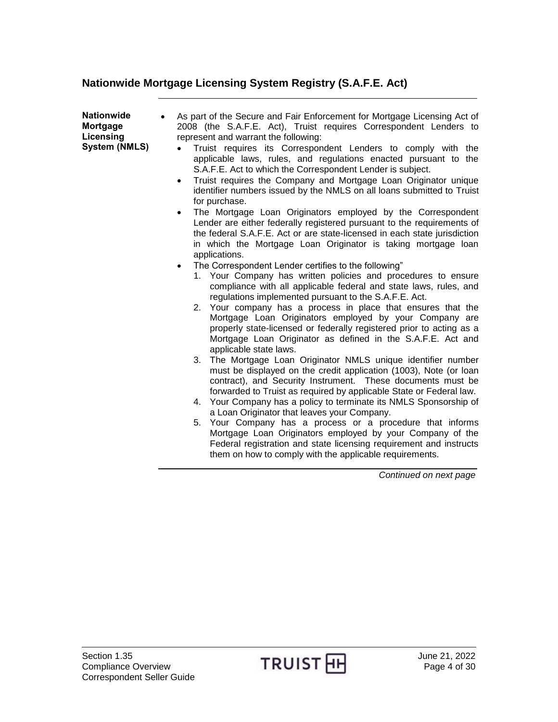## <span id="page-3-0"></span>**Nationwide Mortgage Licensing System Registry (S.A.F.E. Act)**

<span id="page-3-1"></span>

| <b>Nationwide</b><br><b>Mortgage</b><br>Licensing<br><b>System (NMLS)</b> | As part of the Secure and Fair Enforcement for Mortgage Licensing Act of<br>2008 (the S.A.F.E. Act), Truist requires Correspondent Lenders to<br>represent and warrant the following:<br>Truist requires its Correspondent Lenders to comply with the<br>applicable laws, rules, and regulations enacted pursuant to the<br>S.A.F.E. Act to which the Correspondent Lender is subject.<br>Truist requires the Company and Mortgage Loan Originator unique<br>$\bullet$<br>identifier numbers issued by the NMLS on all loans submitted to Truist<br>for purchase.<br>The Mortgage Loan Originators employed by the Correspondent<br>$\bullet$<br>Lender are either federally registered pursuant to the requirements of<br>the federal S.A.F.E. Act or are state-licensed in each state jurisdiction<br>in which the Mortgage Loan Originator is taking mortgage loan<br>applications.<br>The Correspondent Lender certifies to the following"<br>$\bullet$<br>1. Your Company has written policies and procedures to ensure<br>compliance with all applicable federal and state laws, rules, and<br>regulations implemented pursuant to the S.A.F.E. Act.<br>2. Your company has a process in place that ensures that the<br>Mortgage Loan Originators employed by your Company are<br>properly state-licensed or federally registered prior to acting as a<br>Mortgage Loan Originator as defined in the S.A.F.E. Act and<br>applicable state laws.<br>The Mortgage Loan Originator NMLS unique identifier number<br>3. |
|---------------------------------------------------------------------------|---------------------------------------------------------------------------------------------------------------------------------------------------------------------------------------------------------------------------------------------------------------------------------------------------------------------------------------------------------------------------------------------------------------------------------------------------------------------------------------------------------------------------------------------------------------------------------------------------------------------------------------------------------------------------------------------------------------------------------------------------------------------------------------------------------------------------------------------------------------------------------------------------------------------------------------------------------------------------------------------------------------------------------------------------------------------------------------------------------------------------------------------------------------------------------------------------------------------------------------------------------------------------------------------------------------------------------------------------------------------------------------------------------------------------------------------------------------------------------------------------------------------------|
|                                                                           | must be displayed on the credit application (1003), Note (or loan<br>contract), and Security Instrument. These documents must be<br>forwarded to Truist as required by applicable State or Federal law.                                                                                                                                                                                                                                                                                                                                                                                                                                                                                                                                                                                                                                                                                                                                                                                                                                                                                                                                                                                                                                                                                                                                                                                                                                                                                                                   |
|                                                                           | 4. Your Company has a policy to terminate its NMLS Sponsorship of<br>a Loan Originator that leaves your Company.<br>Your Company has a process or a procedure that informs<br>5.                                                                                                                                                                                                                                                                                                                                                                                                                                                                                                                                                                                                                                                                                                                                                                                                                                                                                                                                                                                                                                                                                                                                                                                                                                                                                                                                          |
|                                                                           | Mortgage Loan Originators employed by your Company of the<br>Federal registration and state licensing requirement and instructs<br>them on how to comply with the applicable requirements.                                                                                                                                                                                                                                                                                                                                                                                                                                                                                                                                                                                                                                                                                                                                                                                                                                                                                                                                                                                                                                                                                                                                                                                                                                                                                                                                |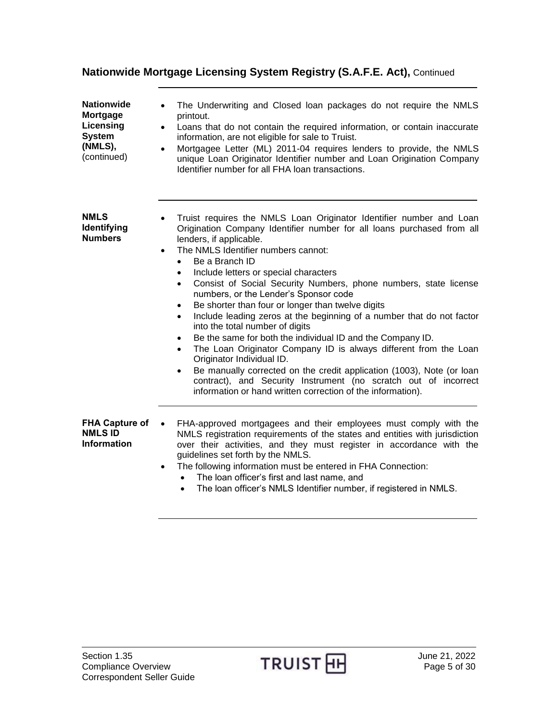## **Nationwide Mortgage Licensing System Registry (S.A.F.E. Act),** Continued

<span id="page-4-0"></span>

| <b>Nationwide</b><br>Mortgage<br>Licensing<br><b>System</b><br>(NMLS),<br>(continued) | The Underwriting and Closed loan packages do not require the NMLS<br>printout.<br>Loans that do not contain the required information, or contain inaccurate<br>$\bullet$<br>information, are not eligible for sale to Truist.<br>Mortgagee Letter (ML) 2011-04 requires lenders to provide, the NMLS<br>$\bullet$<br>unique Loan Originator Identifier number and Loan Origination Company<br>Identifier number for all FHA loan transactions.                                                                                                                                                                                                                                                                                                                                                                                                                                                                                                                                                                                                          |
|---------------------------------------------------------------------------------------|---------------------------------------------------------------------------------------------------------------------------------------------------------------------------------------------------------------------------------------------------------------------------------------------------------------------------------------------------------------------------------------------------------------------------------------------------------------------------------------------------------------------------------------------------------------------------------------------------------------------------------------------------------------------------------------------------------------------------------------------------------------------------------------------------------------------------------------------------------------------------------------------------------------------------------------------------------------------------------------------------------------------------------------------------------|
| <b>NMLS</b><br>Identifying<br><b>Numbers</b>                                          | Truist requires the NMLS Loan Originator Identifier number and Loan<br>Origination Company Identifier number for all loans purchased from all<br>lenders, if applicable.<br>The NMLS Identifier numbers cannot:<br>$\bullet$<br>Be a Branch ID<br>$\bullet$<br>Include letters or special characters<br>$\bullet$<br>Consist of Social Security Numbers, phone numbers, state license<br>$\bullet$<br>numbers, or the Lender's Sponsor code<br>Be shorter than four or longer than twelve digits<br>$\bullet$<br>Include leading zeros at the beginning of a number that do not factor<br>$\bullet$<br>into the total number of digits<br>Be the same for both the individual ID and the Company ID.<br>$\bullet$<br>The Loan Originator Company ID is always different from the Loan<br>$\bullet$<br>Originator Individual ID.<br>Be manually corrected on the credit application (1003), Note (or loan<br>$\bullet$<br>contract), and Security Instrument (no scratch out of incorrect<br>information or hand written correction of the information). |
| <b>FHA Capture of</b><br><b>NMLS ID</b><br><b>Information</b>                         | FHA-approved mortgagees and their employees must comply with the<br>$\bullet$<br>NMLS registration requirements of the states and entities with jurisdiction<br>over their activities, and they must register in accordance with the<br>guidelines set forth by the NMLS.<br>The following information must be entered in FHA Connection:<br>$\bullet$<br>The loan officer's first and last name, and<br>The loan officer's NMLS Identifier number, if registered in NMLS.                                                                                                                                                                                                                                                                                                                                                                                                                                                                                                                                                                              |

<span id="page-4-1"></span>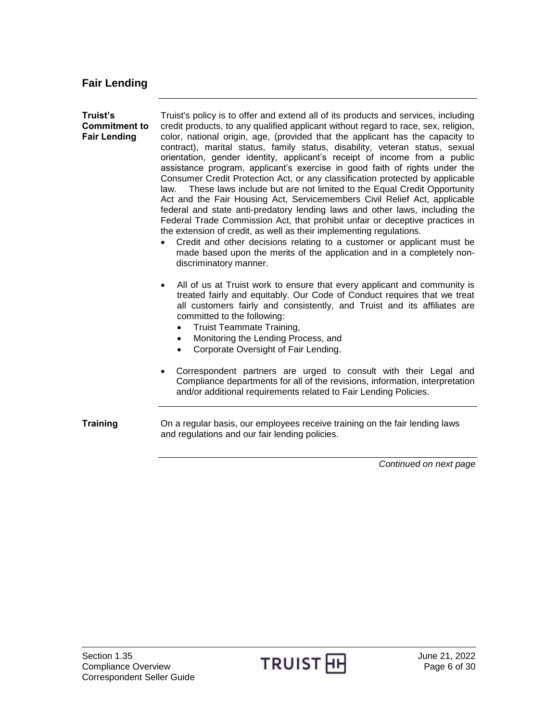# <span id="page-5-0"></span>**Fair Lending**

<span id="page-5-2"></span><span id="page-5-1"></span>

| Truist's<br><b>Commitment to</b><br><b>Fair Lending</b> | Truist's policy is to offer and extend all of its products and services, including<br>credit products, to any qualified applicant without regard to race, sex, religion,<br>color, national origin, age, (provided that the applicant has the capacity to<br>contract), marital status, family status, disability, veteran status, sexual<br>orientation, gender identity, applicant's receipt of income from a public<br>assistance program, applicant's exercise in good faith of rights under the<br>Consumer Credit Protection Act, or any classification protected by applicable<br>These laws include but are not limited to the Equal Credit Opportunity<br>law.<br>Act and the Fair Housing Act, Servicemembers Civil Relief Act, applicable<br>federal and state anti-predatory lending laws and other laws, including the<br>Federal Trade Commission Act, that prohibit unfair or deceptive practices in<br>the extension of credit, as well as their implementing regulations.<br>Credit and other decisions relating to a customer or applicant must be<br>made based upon the merits of the application and in a completely non-<br>discriminatory manner. |
|---------------------------------------------------------|--------------------------------------------------------------------------------------------------------------------------------------------------------------------------------------------------------------------------------------------------------------------------------------------------------------------------------------------------------------------------------------------------------------------------------------------------------------------------------------------------------------------------------------------------------------------------------------------------------------------------------------------------------------------------------------------------------------------------------------------------------------------------------------------------------------------------------------------------------------------------------------------------------------------------------------------------------------------------------------------------------------------------------------------------------------------------------------------------------------------------------------------------------------------------|
|                                                         | All of us at Truist work to ensure that every applicant and community is<br>$\bullet$<br>treated fairly and equitably. Our Code of Conduct requires that we treat<br>all customers fairly and consistently, and Truist and its affiliates are<br>committed to the following:<br>Truist Teammate Training,<br>Monitoring the Lending Process, and<br>$\bullet$<br>Corporate Oversight of Fair Lending.                                                                                                                                                                                                                                                                                                                                                                                                                                                                                                                                                                                                                                                                                                                                                                    |
|                                                         | Correspondent partners are urged to consult with their Legal and<br>$\bullet$<br>Compliance departments for all of the revisions, information, interpretation<br>and/or additional requirements related to Fair Lending Policies.                                                                                                                                                                                                                                                                                                                                                                                                                                                                                                                                                                                                                                                                                                                                                                                                                                                                                                                                        |
| <b>Training</b>                                         | On a regular basis, our employees receive training on the fair lending laws<br>and regulations and our fair lending policies.                                                                                                                                                                                                                                                                                                                                                                                                                                                                                                                                                                                                                                                                                                                                                                                                                                                                                                                                                                                                                                            |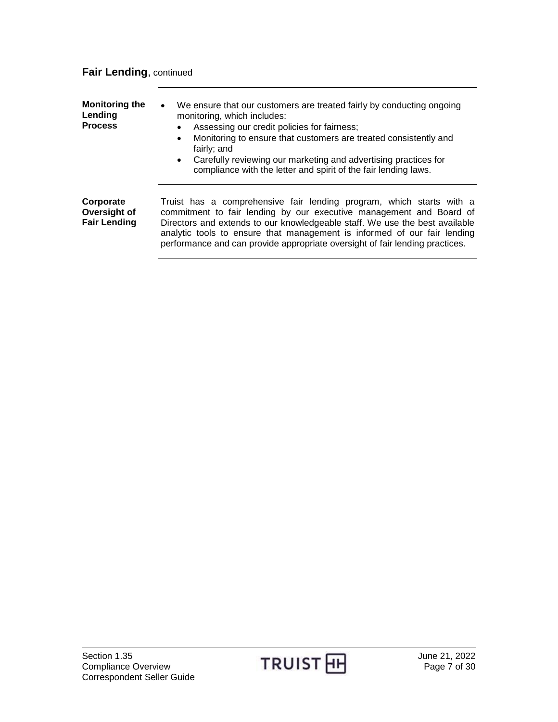## **Fair Lending**, continued

| <b>Monitoring the</b><br>Lending<br><b>Process</b> | We ensure that our customers are treated fairly by conducting ongoing<br>$\bullet$<br>monitoring, which includes:<br>Assessing our credit policies for fairness;<br>$\bullet$<br>Monitoring to ensure that customers are treated consistently and<br>$\bullet$<br>fairly; and<br>Carefully reviewing our marketing and advertising practices for<br>$\bullet$<br>compliance with the letter and spirit of the fair lending laws. |
|----------------------------------------------------|----------------------------------------------------------------------------------------------------------------------------------------------------------------------------------------------------------------------------------------------------------------------------------------------------------------------------------------------------------------------------------------------------------------------------------|
| Corporate<br>Oversight of<br><b>Fair Lending</b>   | Truist has a comprehensive fair lending program, which starts with a<br>commitment to fair lending by our executive management and Board of<br>Directors and extends to our knowledgeable staff. We use the best available<br>analytic tools to ensure that management is informed of our fair lending<br>performance and can provide appropriate oversight of fair lending practices.                                           |

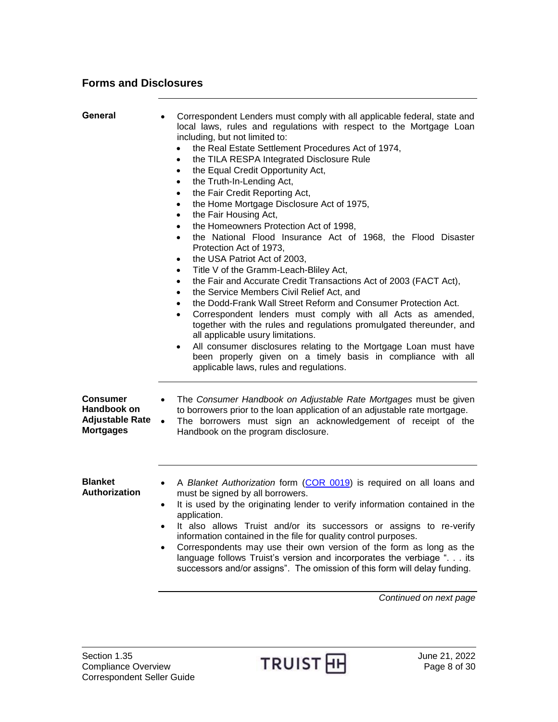#### <span id="page-7-0"></span>**Forms and Disclosures**

<span id="page-7-1"></span>

| General                                                                      | Correspondent Lenders must comply with all applicable federal, state and<br>local laws, rules and regulations with respect to the Mortgage Loan<br>including, but not limited to:<br>the Real Estate Settlement Procedures Act of 1974,<br>the TILA RESPA Integrated Disclosure Rule<br>$\bullet$<br>the Equal Credit Opportunity Act,<br>$\bullet$<br>the Truth-In-Lending Act,<br>$\bullet$<br>the Fair Credit Reporting Act,<br>$\bullet$<br>the Home Mortgage Disclosure Act of 1975,<br>$\bullet$<br>the Fair Housing Act,<br>$\bullet$<br>the Homeowners Protection Act of 1998,<br>$\bullet$<br>the National Flood Insurance Act of 1968, the Flood Disaster<br>$\bullet$<br>Protection Act of 1973,<br>the USA Patriot Act of 2003,<br>$\bullet$<br>Title V of the Gramm-Leach-Bliley Act,<br>$\bullet$<br>the Fair and Accurate Credit Transactions Act of 2003 (FACT Act),<br>$\bullet$<br>the Service Members Civil Relief Act, and<br>$\bullet$<br>the Dodd-Frank Wall Street Reform and Consumer Protection Act.<br>$\bullet$<br>Correspondent lenders must comply with all Acts as amended,<br>$\bullet$<br>together with the rules and regulations promulgated thereunder, and<br>all applicable usury limitations.<br>All consumer disclosures relating to the Mortgage Loan must have<br>been properly given on a timely basis in compliance with all<br>applicable laws, rules and regulations. |
|------------------------------------------------------------------------------|-------------------------------------------------------------------------------------------------------------------------------------------------------------------------------------------------------------------------------------------------------------------------------------------------------------------------------------------------------------------------------------------------------------------------------------------------------------------------------------------------------------------------------------------------------------------------------------------------------------------------------------------------------------------------------------------------------------------------------------------------------------------------------------------------------------------------------------------------------------------------------------------------------------------------------------------------------------------------------------------------------------------------------------------------------------------------------------------------------------------------------------------------------------------------------------------------------------------------------------------------------------------------------------------------------------------------------------------------------------------------------------------------------------------|
| <b>Consumer</b><br>Handbook on<br><b>Adjustable Rate</b><br><b>Mortgages</b> | The Consumer Handbook on Adjustable Rate Mortgages must be given<br>$\bullet$<br>to borrowers prior to the loan application of an adjustable rate mortgage.<br>The borrowers must sign an acknowledgement of receipt of the<br>$\bullet$<br>Handbook on the program disclosure.                                                                                                                                                                                                                                                                                                                                                                                                                                                                                                                                                                                                                                                                                                                                                                                                                                                                                                                                                                                                                                                                                                                                   |
| <b>Blanket</b><br>Authorization                                              | A Blanket Authorization form (COR 0019) is required on all loans and<br>$\bullet$<br>must be signed by all borrowers.<br>It is used by the originating lender to verify information contained in the<br>$\bullet$<br>application.<br>It also allows Truist and/or its successors or assigns to re-verify<br>information contained in the file for quality control purposes.<br>Correspondents may use their own version of the form as long as the<br>language follows Truist's version and incorporates the verbiage ". its<br>successors and/or assigns". The omission of this form will delay funding.<br>Continued on next page                                                                                                                                                                                                                                                                                                                                                                                                                                                                                                                                                                                                                                                                                                                                                                               |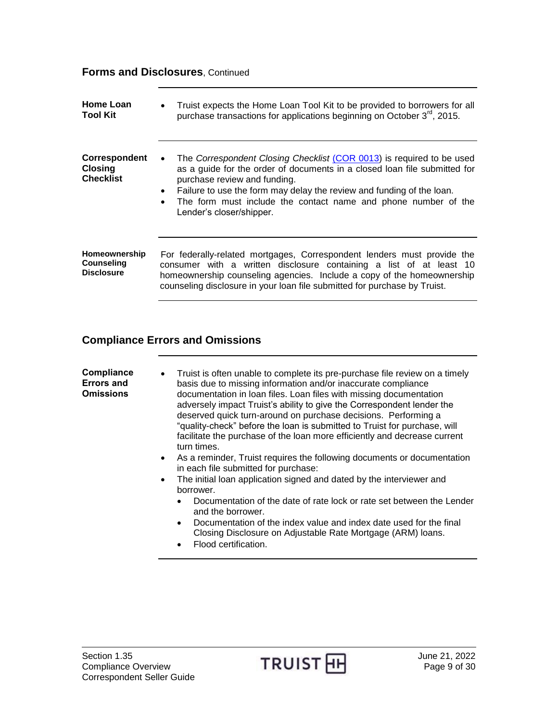### **Forms and Disclosures**, Continued

| Home Loan<br><b>Tool Kit</b>                            | Truist expects the Home Loan Tool Kit to be provided to borrowers for all<br>$\bullet$<br>purchase transactions for applications beginning on October 3 <sup>rd</sup> , 2015.                                                                                                                                                                                            |
|---------------------------------------------------------|--------------------------------------------------------------------------------------------------------------------------------------------------------------------------------------------------------------------------------------------------------------------------------------------------------------------------------------------------------------------------|
| Correspondent<br><b>Closing</b><br><b>Checklist</b>     | The Correspondent Closing Checklist (COR 0013) is required to be used<br>$\bullet$<br>as a guide for the order of documents in a closed loan file submitted for<br>purchase review and funding.<br>• Failure to use the form may delay the review and funding of the loan.<br>The form must include the contact name and phone number of the<br>Lender's closer/shipper. |
| Homeownership<br><b>Counseling</b><br><b>Disclosure</b> | For federally-related mortgages, Correspondent lenders must provide the<br>consumer with a written disclosure containing a list of at least 10<br>homeownership counseling agencies. Include a copy of the homeownership<br>counseling disclosure in your loan file submitted for purchase by Truist.                                                                    |

### <span id="page-8-0"></span>**Compliance Errors and Omissions**

<span id="page-8-1"></span>

| Compliance<br><b>Errors and</b><br><b>Omissions</b> | Truist is often unable to complete its pre-purchase file review on a timely<br>$\bullet$<br>basis due to missing information and/or inaccurate compliance<br>documentation in Ioan files. Loan files with missing documentation<br>adversely impact Truist's ability to give the Correspondent lender the<br>deserved quick turn-around on purchase decisions. Performing a<br>"quality-check" before the loan is submitted to Truist for purchase, will<br>facilitate the purchase of the loan more efficiently and decrease current<br>turn times.<br>As a reminder, Truist requires the following documents or documentation<br>$\bullet$<br>in each file submitted for purchase: |
|-----------------------------------------------------|--------------------------------------------------------------------------------------------------------------------------------------------------------------------------------------------------------------------------------------------------------------------------------------------------------------------------------------------------------------------------------------------------------------------------------------------------------------------------------------------------------------------------------------------------------------------------------------------------------------------------------------------------------------------------------------|
| $\bullet$                                           | The initial loan application signed and dated by the interviewer and<br>borrower.                                                                                                                                                                                                                                                                                                                                                                                                                                                                                                                                                                                                    |
|                                                     | Documentation of the date of rate lock or rate set between the Lender<br>$\bullet$<br>and the borrower.                                                                                                                                                                                                                                                                                                                                                                                                                                                                                                                                                                              |
|                                                     | Documentation of the index value and index date used for the final<br>$\bullet$<br>Closing Disclosure on Adjustable Rate Mortgage (ARM) loans.<br>Flood certification.<br>$\bullet$                                                                                                                                                                                                                                                                                                                                                                                                                                                                                                  |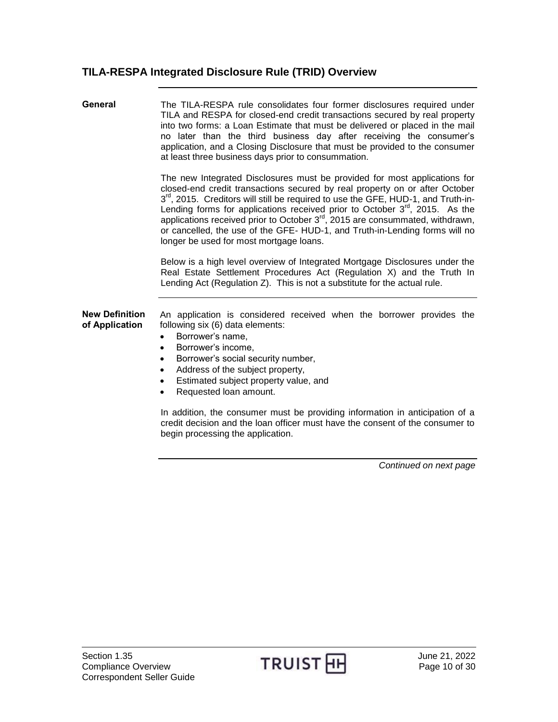<span id="page-9-1"></span><span id="page-9-0"></span>**General** The TILA-RESPA rule consolidates four former disclosures required under TILA and RESPA for closed-end credit transactions secured by real property into two forms: a Loan Estimate that must be delivered or placed in the mail no later than the third business day after receiving the consumer's application, and a Closing Disclosure that must be provided to the consumer at least three business days prior to consummation.

> The new Integrated Disclosures must be provided for most applications for closed-end credit transactions secured by real property on or after October 3<sup>rd</sup>, 2015. Creditors will still be required to use the GFE, HUD-1, and Truth-in-Lending forms for applications received prior to October  $3<sup>rd</sup>$ , 2015. As the applications received prior to October  $3<sup>rd</sup>$ , 2015 are consummated, withdrawn, or cancelled, the use of the GFE- HUD-1, and Truth-in-Lending forms will no longer be used for most mortgage loans.

> Below is a high level overview of Integrated Mortgage Disclosures under the Real Estate Settlement Procedures Act (Regulation X) and the Truth In Lending Act (Regulation Z). This is not a substitute for the actual rule.

<span id="page-9-2"></span>**New Definition of Application** An application is considered received when the borrower provides the following six (6) data elements:

- Borrower's name,
- Borrower's income,
- Borrower's social security number,
- Address of the subject property,
- **Estimated subject property value, and**
- Requested loan amount.

In addition, the consumer must be providing information in anticipation of a credit decision and the loan officer must have the consent of the consumer to begin processing the application.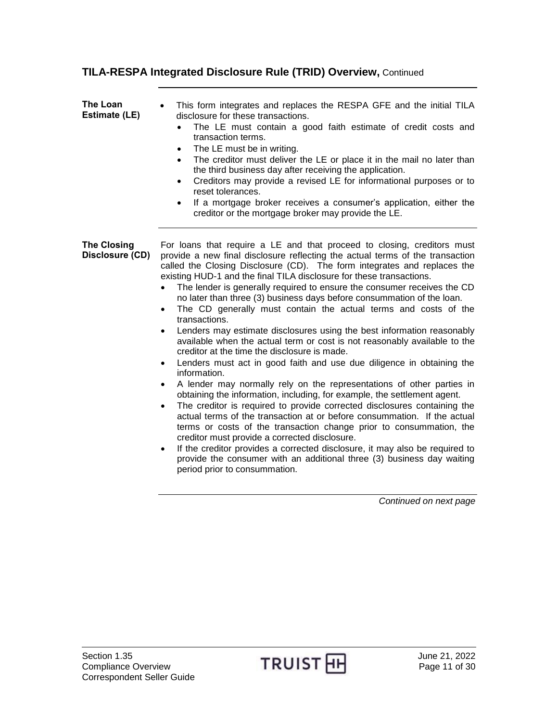<span id="page-10-1"></span><span id="page-10-0"></span>

| The Loan<br>Estimate (LE)             | This form integrates and replaces the RESPA GFE and the initial TILA<br>disclosure for these transactions.<br>The LE must contain a good faith estimate of credit costs and<br>$\bullet$<br>transaction terms.<br>The LE must be in writing.<br>$\bullet$<br>The creditor must deliver the LE or place it in the mail no later than<br>$\bullet$<br>the third business day after receiving the application.<br>Creditors may provide a revised LE for informational purposes or to<br>$\bullet$<br>reset tolerances.<br>If a mortgage broker receives a consumer's application, either the<br>$\bullet$<br>creditor or the mortgage broker may provide the LE.                                                                                                                                                                                                                                                                                                                                                                                                                                                                                                                                                                                                                                                                                                                                                                                                                                                                                        |
|---------------------------------------|-------------------------------------------------------------------------------------------------------------------------------------------------------------------------------------------------------------------------------------------------------------------------------------------------------------------------------------------------------------------------------------------------------------------------------------------------------------------------------------------------------------------------------------------------------------------------------------------------------------------------------------------------------------------------------------------------------------------------------------------------------------------------------------------------------------------------------------------------------------------------------------------------------------------------------------------------------------------------------------------------------------------------------------------------------------------------------------------------------------------------------------------------------------------------------------------------------------------------------------------------------------------------------------------------------------------------------------------------------------------------------------------------------------------------------------------------------------------------------------------------------------------------------------------------------|
| <b>The Closing</b><br>Disclosure (CD) | For loans that require a LE and that proceed to closing, creditors must<br>provide a new final disclosure reflecting the actual terms of the transaction<br>called the Closing Disclosure (CD). The form integrates and replaces the<br>existing HUD-1 and the final TILA disclosure for these transactions.<br>The lender is generally required to ensure the consumer receives the CD<br>no later than three (3) business days before consummation of the loan.<br>The CD generally must contain the actual terms and costs of the<br>$\bullet$<br>transactions.<br>Lenders may estimate disclosures using the best information reasonably<br>$\bullet$<br>available when the actual term or cost is not reasonably available to the<br>creditor at the time the disclosure is made.<br>Lenders must act in good faith and use due diligence in obtaining the<br>$\bullet$<br>information.<br>A lender may normally rely on the representations of other parties in<br>obtaining the information, including, for example, the settlement agent.<br>The creditor is required to provide corrected disclosures containing the<br>$\bullet$<br>actual terms of the transaction at or before consummation. If the actual<br>terms or costs of the transaction change prior to consummation, the<br>creditor must provide a corrected disclosure.<br>If the creditor provides a corrected disclosure, it may also be required to<br>$\bullet$<br>provide the consumer with an additional three (3) business day waiting<br>period prior to consummation. |

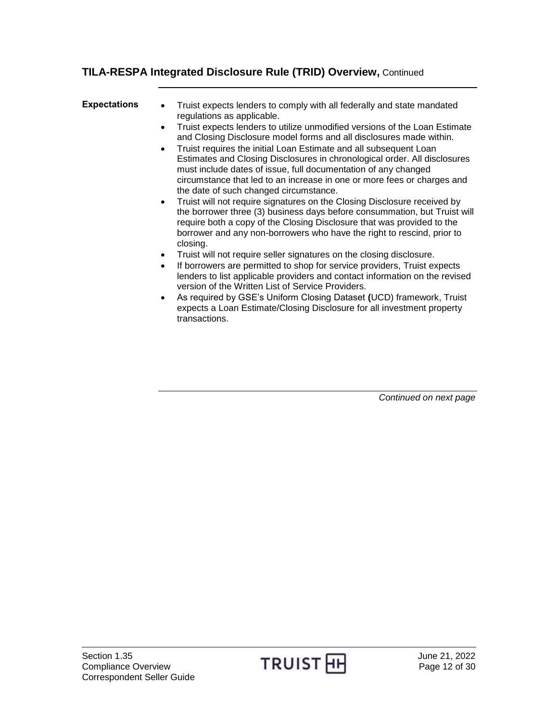<span id="page-11-0"></span>

| <b>Expectations</b> | Truist expects lenders to comply with all federally and state mandated<br>$\bullet$<br>regulations as applicable.<br>Truist expects lenders to utilize unmodified versions of the Loan Estimate<br>$\bullet$<br>and Closing Disclosure model forms and all disclosures made within.<br>Truist requires the initial Loan Estimate and all subsequent Loan<br>$\bullet$<br>Estimates and Closing Disclosures in chronological order. All disclosures<br>must include dates of issue, full documentation of any changed<br>circumstance that led to an increase in one or more fees or charges and<br>the date of such changed circumstance.<br>Truist will not require signatures on the Closing Disclosure received by<br>$\bullet$<br>the borrower three (3) business days before consummation, but Truist will<br>require both a copy of the Closing Disclosure that was provided to the<br>borrower and any non-borrowers who have the right to rescind, prior to<br>closing.<br>Truist will not require seller signatures on the closing disclosure.<br>$\bullet$<br>If borrowers are permitted to shop for service providers, Truist expects<br>$\bullet$<br>lenders to list applicable providers and contact information on the revised<br>version of the Written List of Service Providers.<br>As required by GSE's Uniform Closing Dataset (UCD) framework, Truist<br>$\bullet$<br>expects a Loan Estimate/Closing Disclosure for all investment property<br>transactions. |
|---------------------|-----------------------------------------------------------------------------------------------------------------------------------------------------------------------------------------------------------------------------------------------------------------------------------------------------------------------------------------------------------------------------------------------------------------------------------------------------------------------------------------------------------------------------------------------------------------------------------------------------------------------------------------------------------------------------------------------------------------------------------------------------------------------------------------------------------------------------------------------------------------------------------------------------------------------------------------------------------------------------------------------------------------------------------------------------------------------------------------------------------------------------------------------------------------------------------------------------------------------------------------------------------------------------------------------------------------------------------------------------------------------------------------------------------------------------------------------------------------------------------|
|                     |                                                                                                                                                                                                                                                                                                                                                                                                                                                                                                                                                                                                                                                                                                                                                                                                                                                                                                                                                                                                                                                                                                                                                                                                                                                                                                                                                                                                                                                                                   |

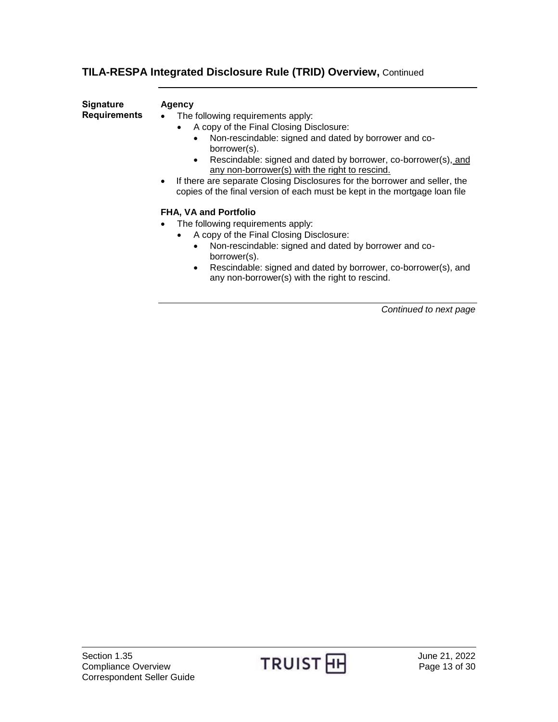<span id="page-12-0"></span>**Signature Requirements**

#### **Agency**

• The following requirements apply:

- A copy of the Final Closing Disclosure:
	- Non-rescindable: signed and dated by borrower and coborrower(s).
	- Rescindable: signed and dated by borrower, co-borrower(s), and any non-borrower(s) with the right to rescind.
- If there are separate Closing Disclosures for the borrower and seller, the copies of the final version of each must be kept in the mortgage loan file

#### **FHA, VA and Portfolio**

- The following requirements apply:
	- A copy of the Final Closing Disclosure:
		- Non-rescindable: signed and dated by borrower and coborrower(s).
		- Rescindable: signed and dated by borrower, co-borrower(s), and any non-borrower(s) with the right to rescind.

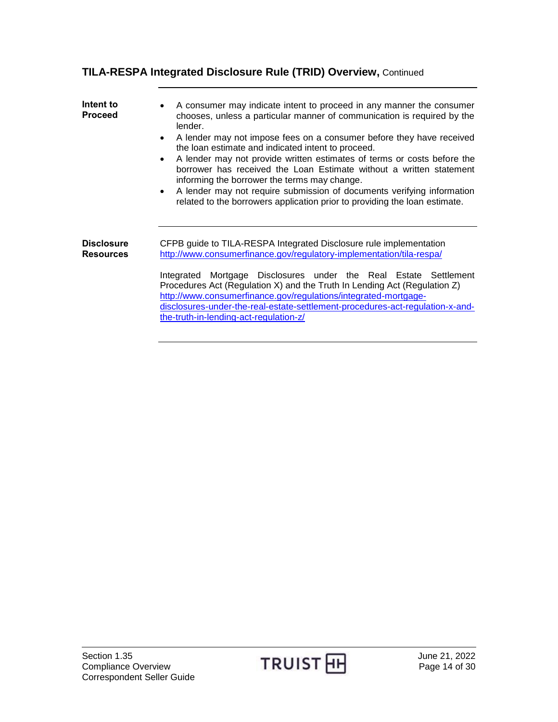<span id="page-13-1"></span><span id="page-13-0"></span>

| Intent to<br><b>Proceed</b>           | A consumer may indicate intent to proceed in any manner the consumer<br>chooses, unless a particular manner of communication is required by the<br>lender.<br>A lender may not impose fees on a consumer before they have received<br>the loan estimate and indicated intent to proceed.<br>A lender may not provide written estimates of terms or costs before the<br>borrower has received the Loan Estimate without a written statement<br>informing the borrower the terms may change.<br>A lender may not require submission of documents verifying information<br>$\bullet$<br>related to the borrowers application prior to providing the loan estimate. |
|---------------------------------------|-----------------------------------------------------------------------------------------------------------------------------------------------------------------------------------------------------------------------------------------------------------------------------------------------------------------------------------------------------------------------------------------------------------------------------------------------------------------------------------------------------------------------------------------------------------------------------------------------------------------------------------------------------------------|
| <b>Disclosure</b><br><b>Resources</b> | CFPB guide to TILA-RESPA Integrated Disclosure rule implementation<br>http://www.consumerfinance.gov/regulatory-implementation/tila-respa/<br>Integrated Mortgage Disclosures under the Real Estate Settlement<br>Procedures Act (Regulation X) and the Truth In Lending Act (Regulation Z)<br>http://www.consumerfinance.gov/regulations/integrated-mortgage-<br>disclosures-under-the-real-estate-settlement-procedures-act-regulation-x-and-<br>the-truth-in-lending-act-regulation-z/                                                                                                                                                                       |

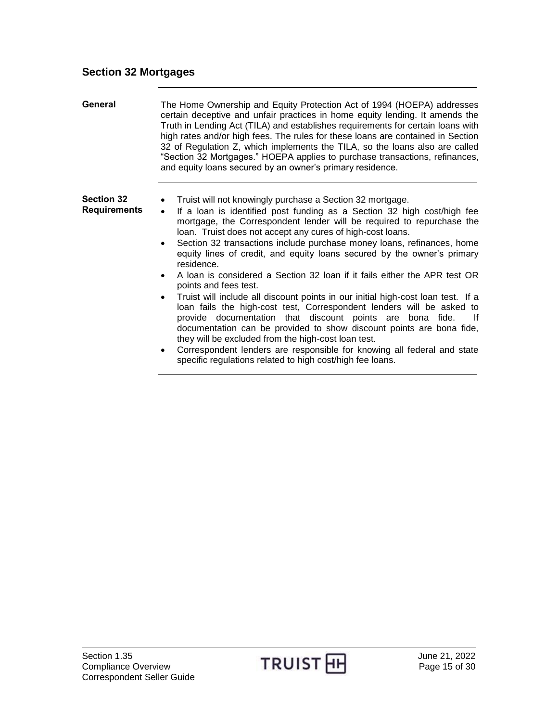#### <span id="page-14-0"></span>**Section 32 Mortgages**

<span id="page-14-1"></span>**General** The Home Ownership and Equity Protection Act of 1994 (HOEPA) addresses certain deceptive and unfair practices in home equity lending. It amends the Truth in Lending Act (TILA) and establishes requirements for certain loans with high rates and/or high fees. The rules for these loans are contained in Section 32 of Regulation Z, which implements the TILA, so the loans also are called "Section 32 Mortgages." HOEPA applies to purchase transactions, refinances, and equity loans secured by an owner's primary residence.

#### <span id="page-14-2"></span>**Section 32 Requirements**

Truist will not knowingly purchase a Section 32 mortgage.

- If a loan is identified post funding as a Section 32 high cost/high fee mortgage, the Correspondent lender will be required to repurchase the loan. Truist does not accept any cures of high-cost loans.
- Section 32 transactions include purchase money loans, refinances, home equity lines of credit, and equity loans secured by the owner's primary residence.
- A loan is considered a Section 32 loan if it fails either the APR test OR points and fees test.
- Truist will include all discount points in our initial high-cost loan test. If a loan fails the high-cost test, Correspondent lenders will be asked to provide documentation that discount points are bona fide. If documentation can be provided to show discount points are bona fide, they will be excluded from the high-cost loan test.
- Correspondent lenders are responsible for knowing all federal and state specific regulations related to high cost/high fee loans.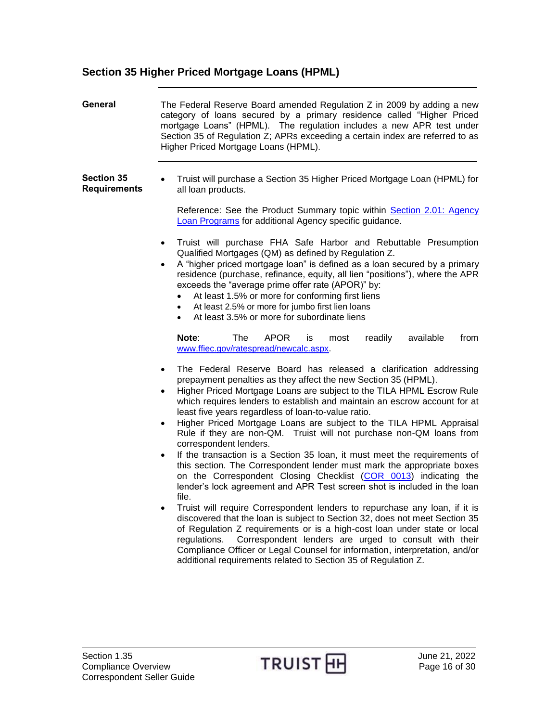## <span id="page-15-0"></span>**Section 35 Higher Priced Mortgage Loans (HPML)**

<span id="page-15-2"></span><span id="page-15-1"></span>

| <b>General</b>                           | The Federal Reserve Board amended Regulation Z in 2009 by adding a new<br>category of loans secured by a primary residence called "Higher Priced<br>mortgage Loans" (HPML). The regulation includes a new APR test under<br>Section 35 of Regulation Z; APRs exceeding a certain index are referred to as<br>Higher Priced Mortgage Loans (HPML).                                                                                                                                                                                                                                                                                                                                                                                                                                                                                                                                                                                                                                                                                                                                                                                                                                                                                                                                                                                                                                                                                                                                                                                                                                                                                                                                                                                                                                                                                                                                                                                                                                                                                                                                                                                                                                                                                                                  |
|------------------------------------------|--------------------------------------------------------------------------------------------------------------------------------------------------------------------------------------------------------------------------------------------------------------------------------------------------------------------------------------------------------------------------------------------------------------------------------------------------------------------------------------------------------------------------------------------------------------------------------------------------------------------------------------------------------------------------------------------------------------------------------------------------------------------------------------------------------------------------------------------------------------------------------------------------------------------------------------------------------------------------------------------------------------------------------------------------------------------------------------------------------------------------------------------------------------------------------------------------------------------------------------------------------------------------------------------------------------------------------------------------------------------------------------------------------------------------------------------------------------------------------------------------------------------------------------------------------------------------------------------------------------------------------------------------------------------------------------------------------------------------------------------------------------------------------------------------------------------------------------------------------------------------------------------------------------------------------------------------------------------------------------------------------------------------------------------------------------------------------------------------------------------------------------------------------------------------------------------------------------------------------------------------------------------|
| <b>Section 35</b><br><b>Requirements</b> | Truist will purchase a Section 35 Higher Priced Mortgage Loan (HPML) for<br>all loan products.<br>Reference: See the Product Summary topic within Section 2.01: Agency<br>Loan Programs for additional Agency specific guidance.<br>Truist will purchase FHA Safe Harbor and Rebuttable Presumption<br>$\bullet$<br>Qualified Mortgages (QM) as defined by Regulation Z.<br>A "higher priced mortgage loan" is defined as a loan secured by a primary<br>$\bullet$<br>residence (purchase, refinance, equity, all lien "positions"), where the APR<br>exceeds the "average prime offer rate (APOR)" by:<br>At least 1.5% or more for conforming first liens<br>At least 2.5% or more for jumbo first lien loans<br>٠<br>At least 3.5% or more for subordinate liens<br>٠<br>Note:<br>The<br><b>APOR</b><br>readily<br>available<br>from<br>is<br>most<br>www.ffiec.gov/ratespread/newcalc.aspx.<br>The Federal Reserve Board has released a clarification addressing<br>$\bullet$<br>prepayment penalties as they affect the new Section 35 (HPML).<br>Higher Priced Mortgage Loans are subject to the TILA HPML Escrow Rule<br>$\bullet$<br>which requires lenders to establish and maintain an escrow account for at<br>least five years regardless of loan-to-value ratio.<br>Higher Priced Mortgage Loans are subject to the TILA HPML Appraisal<br>$\bullet$<br>Rule if they are non-QM. Truist will not purchase non-QM loans from<br>correspondent lenders.<br>If the transaction is a Section 35 Ioan, it must meet the requirements of<br>$\bullet$<br>this section. The Correspondent lender must mark the appropriate boxes<br>on the Correspondent Closing Checklist (COR 0013) indicating the<br>lender's lock agreement and APR Test screen shot is included in the loan<br>file.<br>Truist will require Correspondent lenders to repurchase any loan, if it is<br>discovered that the loan is subject to Section 32, does not meet Section 35<br>of Regulation Z requirements or is a high-cost loan under state or local<br>Correspondent lenders are urged to consult with their<br>regulations.<br>Compliance Officer or Legal Counsel for information, interpretation, and/or<br>additional requirements related to Section 35 of Regulation Z. |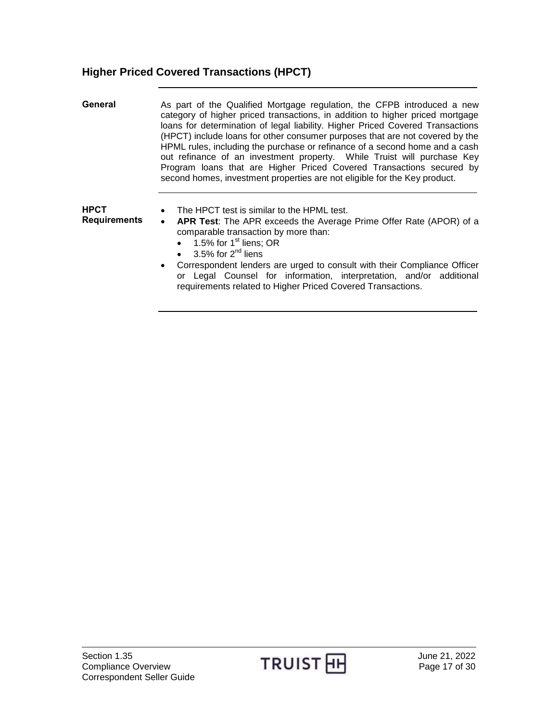## <span id="page-16-0"></span>**Higher Priced Covered Transactions (HPCT)**

<span id="page-16-2"></span><span id="page-16-1"></span>

| General                            | As part of the Qualified Mortgage regulation, the CFPB introduced a new<br>category of higher priced transactions, in addition to higher priced mortgage<br>loans for determination of legal liability. Higher Priced Covered Transactions<br>(HPCT) include loans for other consumer purposes that are not covered by the<br>HPML rules, including the purchase or refinance of a second home and a cash<br>out refinance of an investment property. While Truist will purchase Key<br>Program loans that are Higher Priced Covered Transactions secured by<br>second homes, investment properties are not eligible for the Key product. |
|------------------------------------|-------------------------------------------------------------------------------------------------------------------------------------------------------------------------------------------------------------------------------------------------------------------------------------------------------------------------------------------------------------------------------------------------------------------------------------------------------------------------------------------------------------------------------------------------------------------------------------------------------------------------------------------|
| <b>HPCT</b><br><b>Requirements</b> | The HPCT test is similar to the HPML test.<br>APR Test: The APR exceeds the Average Prime Offer Rate (APOR) of a<br>$\bullet$<br>comparable transaction by more than:<br>$\bullet$ 1.5% for 1 <sup>st</sup> liens; OR<br>$\bullet$ 3.5% for 2 <sup>nd</sup> liens<br>• Correspondent lenders are urged to consult with their Compliance Officer<br>or Legal Counsel for information, interpretation, and/or additional                                                                                                                                                                                                                    |

requirements related to Higher Priced Covered Transactions.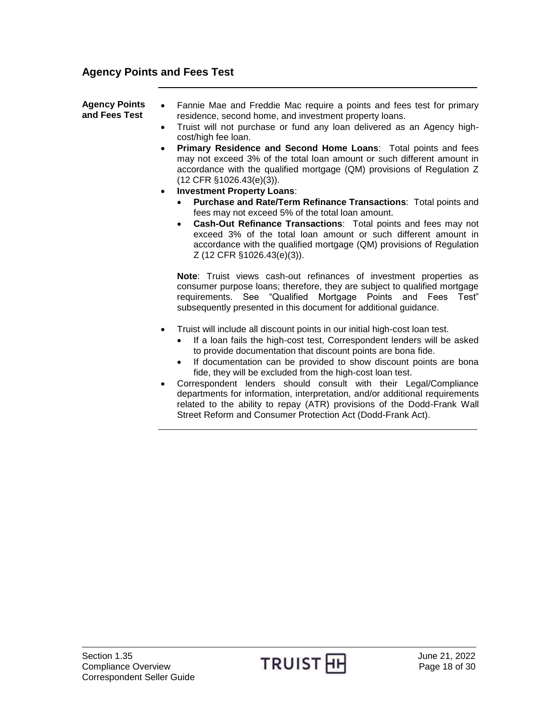### <span id="page-17-0"></span>**Agency Points and Fees Test**

| <b>Agency Points</b><br>and Fees Test | Fannie Mae and Freddie Mac require a points and fees test for primary<br>$\bullet$<br>residence, second home, and investment property loans.<br>Truist will not purchase or fund any loan delivered as an Agency high-<br>$\bullet$<br>cost/high fee loan.<br><b>Primary Residence and Second Home Loans: Total points and fees</b><br>$\bullet$<br>may not exceed 3% of the total loan amount or such different amount in<br>accordance with the qualified mortgage (QM) provisions of Regulation Z<br>$(12$ CFR $§1026.43(e)(3)$ ).<br><b>Investment Property Loans:</b><br>$\bullet$<br><b>Purchase and Rate/Term Refinance Transactions: Total points and</b><br>fees may not exceed 5% of the total loan amount.<br>Cash-Out Refinance Transactions: Total points and fees may not<br>$\bullet$<br>exceed 3% of the total loan amount or such different amount in<br>accordance with the qualified mortgage (QM) provisions of Regulation<br>Z (12 CFR §1026.43(e)(3)). |
|---------------------------------------|------------------------------------------------------------------------------------------------------------------------------------------------------------------------------------------------------------------------------------------------------------------------------------------------------------------------------------------------------------------------------------------------------------------------------------------------------------------------------------------------------------------------------------------------------------------------------------------------------------------------------------------------------------------------------------------------------------------------------------------------------------------------------------------------------------------------------------------------------------------------------------------------------------------------------------------------------------------------------|
|                                       | <b>Note:</b> Truist views cash-out refinances of investment properties as<br>consumer purpose loans; therefore, they are subject to qualified mortgage<br>requirements. See "Qualified Mortgage Points and Fees Test"<br>subsequently presented in this document for additional guidance.                                                                                                                                                                                                                                                                                                                                                                                                                                                                                                                                                                                                                                                                                    |
|                                       | Truist will include all discount points in our initial high-cost loan test.<br>$\bullet$<br>If a loan fails the high-cost test, Correspondent lenders will be asked<br>$\bullet$<br>to provide documentation that discount points are bona fide.                                                                                                                                                                                                                                                                                                                                                                                                                                                                                                                                                                                                                                                                                                                             |

- If documentation can be provided to show discount points are bona fide, they will be excluded from the high-cost loan test.
- Correspondent lenders should consult with their Legal/Compliance departments for information, interpretation, and/or additional requirements related to the ability to repay (ATR) provisions of the Dodd-Frank Wall Street Reform and Consumer Protection Act (Dodd-Frank Act).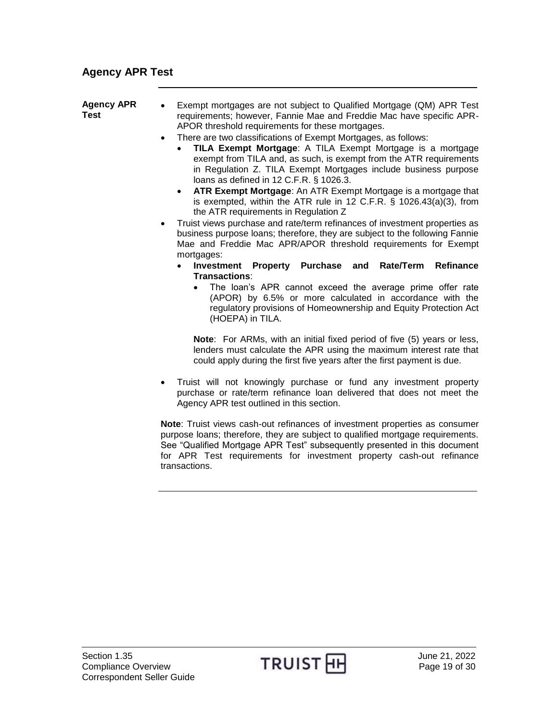# <span id="page-18-0"></span>**Agency APR Test**

| <b>Agency APR</b><br><b>Test</b> | Exempt mortgages are not subject to Qualified Mortgage (QM) APR Test<br>$\bullet$<br>requirements; however, Fannie Mae and Freddie Mac have specific APR-<br>APOR threshold requirements for these mortgages.<br>There are two classifications of Exempt Mortgages, as follows:<br>$\bullet$<br>TILA Exempt Mortgage: A TILA Exempt Mortgage is a mortgage<br>exempt from TILA and, as such, is exempt from the ATR requirements<br>in Regulation Z. TILA Exempt Mortgages include business purpose<br>loans as defined in 12 C.F.R. § 1026.3.<br>• ATR Exempt Mortgage: An ATR Exempt Mortgage is a mortgage that<br>is exempted, within the ATR rule in 12 C.F.R. $\S$ 1026.43(a)(3), from<br>the ATR requirements in Regulation Z<br>Truist views purchase and rate/term refinances of investment properties as<br>$\bullet$<br>business purpose loans; therefore, they are subject to the following Fannie<br>Mae and Freddie Mac APR/APOR threshold requirements for Exempt |
|----------------------------------|----------------------------------------------------------------------------------------------------------------------------------------------------------------------------------------------------------------------------------------------------------------------------------------------------------------------------------------------------------------------------------------------------------------------------------------------------------------------------------------------------------------------------------------------------------------------------------------------------------------------------------------------------------------------------------------------------------------------------------------------------------------------------------------------------------------------------------------------------------------------------------------------------------------------------------------------------------------------------------|
|                                  | mortgages:<br>Investment Property Purchase and<br>Rate/Term<br>Refinance<br>$\bullet$                                                                                                                                                                                                                                                                                                                                                                                                                                                                                                                                                                                                                                                                                                                                                                                                                                                                                            |
|                                  | Transactions:<br>The loan's APR cannot exceed the average prime offer rate<br>(APOR) by 6.5% or more calculated in accordance with the<br>regulatory provisions of Homeownership and Equity Protection Act<br>(HOEPA) in TILA.                                                                                                                                                                                                                                                                                                                                                                                                                                                                                                                                                                                                                                                                                                                                                   |
|                                  | <b>Note:</b> For ARMs, with an initial fixed period of five (5) years or less,<br>lenders must calculate the APR using the maximum interest rate that<br>could apply during the first five years after the first payment is due.                                                                                                                                                                                                                                                                                                                                                                                                                                                                                                                                                                                                                                                                                                                                                 |
|                                  | Truist will not knowingly purchase or fund any investment property<br>purchase or rate/term refinance loan delivered that does not meet the<br>Agency APR test outlined in this section.                                                                                                                                                                                                                                                                                                                                                                                                                                                                                                                                                                                                                                                                                                                                                                                         |
|                                  | Note: Truist views cash-out refinances of investment properties as consumer<br>purpose loans; therefore, they are subject to qualified mortgage requirements.                                                                                                                                                                                                                                                                                                                                                                                                                                                                                                                                                                                                                                                                                                                                                                                                                    |

See "Qualified Mortgage APR Test" subsequently presented in this document for APR Test requirements for investment property cash-out refinance transactions.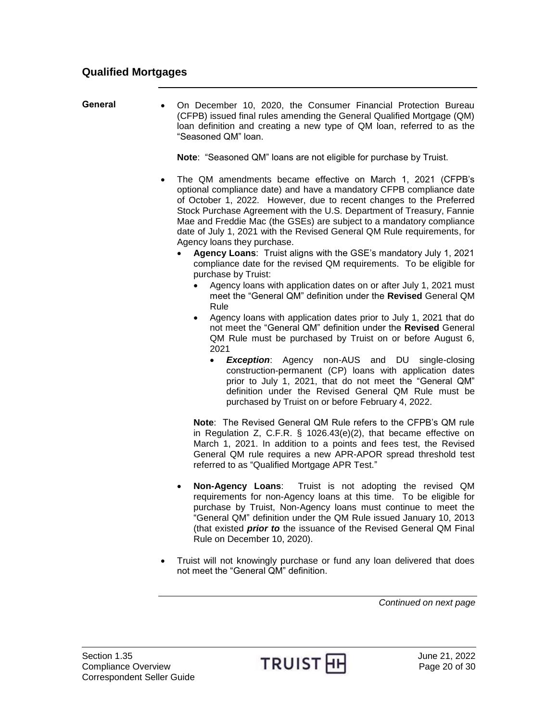#### <span id="page-19-0"></span>**Qualified Mortgages**

<span id="page-19-1"></span>General • On December 10, 2020, the Consumer Financial Protection Bureau (CFPB) issued final rules amending the General Qualified Mortgage (QM) loan definition and creating a new type of QM loan, referred to as the "Seasoned QM" loan.

**Note**: "Seasoned QM" loans are not eligible for purchase by Truist.

- The QM amendments became effective on March 1, 2021 (CFPB's optional compliance date) and have a mandatory CFPB compliance date of October 1, 2022. However, due to recent changes to the Preferred Stock Purchase Agreement with the U.S. Department of Treasury, Fannie Mae and Freddie Mac (the GSEs) are subject to a mandatory compliance date of July 1, 2021 with the Revised General QM Rule requirements, for Agency loans they purchase.
	- **Agency Loans**: Truist aligns with the GSE's mandatory July 1, 2021 compliance date for the revised QM requirements. To be eligible for purchase by Truist:
		- Agency loans with application dates on or after July 1, 2021 must meet the "General QM" definition under the **Revised** General QM Rule
		- Agency loans with application dates prior to July 1, 2021 that do not meet the "General QM" definition under the **Revised** General QM Rule must be purchased by Truist on or before August 6, 2021
			- *Exception*: Agency non-AUS and DU single-closing construction-permanent (CP) loans with application dates prior to July 1, 2021, that do not meet the "General QM" definition under the Revised General QM Rule must be purchased by Truist on or before February 4, 2022.

**Note**: The Revised General QM Rule refers to the CFPB's QM rule in Regulation Z, C.F.R. § 1026.43(e)(2), that became effective on March 1, 2021. In addition to a points and fees test, the Revised General QM rule requires a new APR-APOR spread threshold test referred to as "Qualified Mortgage APR Test."

- **Non-Agency Loans**: Truist is not adopting the revised QM requirements for non-Agency loans at this time. To be eligible for purchase by Truist, Non-Agency loans must continue to meet the "General QM" definition under the QM Rule issued January 10, 2013 (that existed *prior to* the issuance of the Revised General QM Final Rule on December 10, 2020).
- Truist will not knowingly purchase or fund any loan delivered that does not meet the "General QM" definition.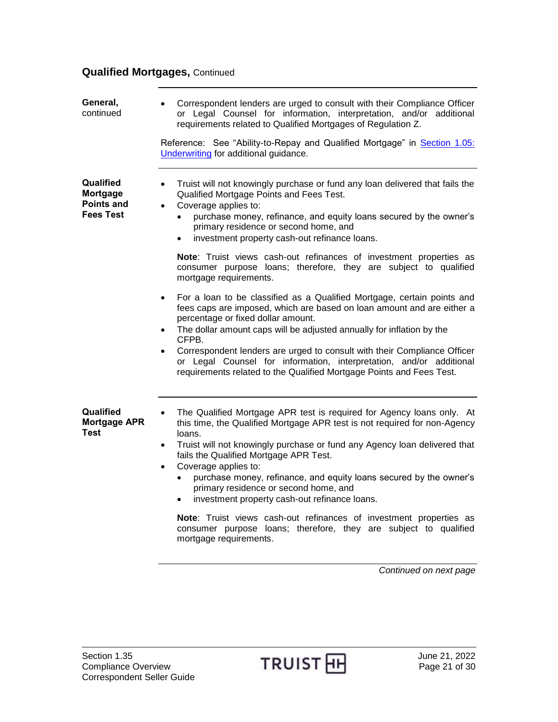## **Qualified Mortgages,** Continued

<span id="page-20-1"></span><span id="page-20-0"></span>

| General,<br>continued                                                 | Correspondent lenders are urged to consult with their Compliance Officer<br>or Legal Counsel for information, interpretation, and/or additional<br>requirements related to Qualified Mortgages of Regulation Z.                                                                                                                                                                                                                                                                                                                                                                                                                                                                                     |
|-----------------------------------------------------------------------|-----------------------------------------------------------------------------------------------------------------------------------------------------------------------------------------------------------------------------------------------------------------------------------------------------------------------------------------------------------------------------------------------------------------------------------------------------------------------------------------------------------------------------------------------------------------------------------------------------------------------------------------------------------------------------------------------------|
|                                                                       | Reference: See "Ability-to-Repay and Qualified Mortgage" in Section 1.05:<br>Underwriting for additional guidance.                                                                                                                                                                                                                                                                                                                                                                                                                                                                                                                                                                                  |
| Qualified<br><b>Mortgage</b><br><b>Points and</b><br><b>Fees Test</b> | Truist will not knowingly purchase or fund any loan delivered that fails the<br>$\bullet$<br>Qualified Mortgage Points and Fees Test.<br>Coverage applies to:<br>$\bullet$<br>purchase money, refinance, and equity loans secured by the owner's<br>$\bullet$<br>primary residence or second home, and<br>investment property cash-out refinance loans.<br>$\bullet$                                                                                                                                                                                                                                                                                                                                |
|                                                                       | Note: Truist views cash-out refinances of investment properties as<br>consumer purpose loans; therefore, they are subject to qualified<br>mortgage requirements.                                                                                                                                                                                                                                                                                                                                                                                                                                                                                                                                    |
|                                                                       | For a loan to be classified as a Qualified Mortgage, certain points and<br>$\bullet$<br>fees caps are imposed, which are based on loan amount and are either a<br>percentage or fixed dollar amount.<br>The dollar amount caps will be adjusted annually for inflation by the<br>$\bullet$<br>CFPB.<br>Correspondent lenders are urged to consult with their Compliance Officer<br>$\bullet$<br>or Legal Counsel for information, interpretation, and/or additional<br>requirements related to the Qualified Mortgage Points and Fees Test.                                                                                                                                                         |
| Qualified<br><b>Mortgage APR</b><br><b>Test</b>                       | The Qualified Mortgage APR test is required for Agency loans only. At<br>$\bullet$<br>this time, the Qualified Mortgage APR test is not required for non-Agency<br>loans.<br>Truist will not knowingly purchase or fund any Agency loan delivered that<br>$\bullet$<br>fails the Qualified Mortgage APR Test.<br>Coverage applies to:<br>$\bullet$<br>purchase money, refinance, and equity loans secured by the owner's<br>$\bullet$<br>primary residence or second home, and<br>investment property cash-out refinance loans.<br>Note: Truist views cash-out refinances of investment properties as<br>consumer purpose loans; therefore, they are subject to qualified<br>mortgage requirements. |
|                                                                       | Continued on next page                                                                                                                                                                                                                                                                                                                                                                                                                                                                                                                                                                                                                                                                              |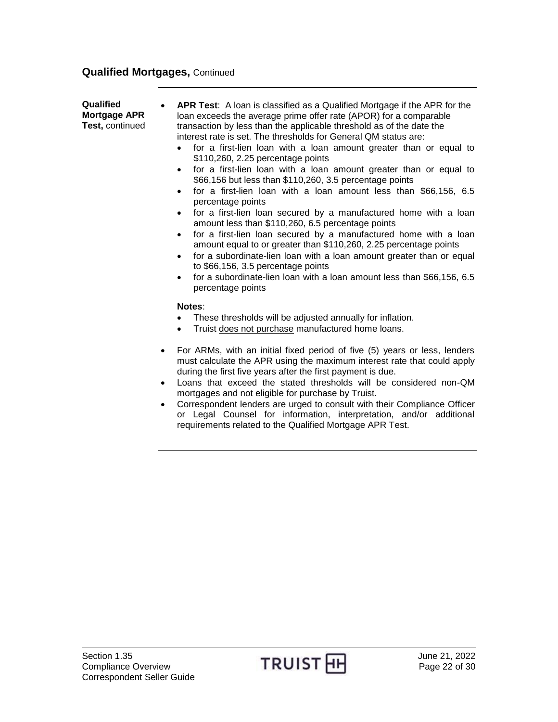#### **Qualified Mortgages,** Continued

**Qualified Mortgage APR Test,** continued **APR Test**: A loan is classified as a Qualified Mortgage if the APR for the loan exceeds the average prime offer rate (APOR) for a comparable transaction by less than the applicable threshold as of the date the interest rate is set. The thresholds for General QM status are:

- for a first-lien loan with a loan amount greater than or equal to \$110,260, 2.25 percentage points
- for a first-lien loan with a loan amount greater than or equal to \$66,156 but less than \$110,260, 3.5 percentage points
- for a first-lien loan with a loan amount less than \$66,156, 6.5 percentage points
- for a first-lien loan secured by a manufactured home with a loan amount less than \$110,260, 6.5 percentage points
- for a first-lien loan secured by a manufactured home with a loan amount equal to or greater than \$110,260, 2.25 percentage points
- for a subordinate-lien loan with a loan amount greater than or equal to \$66,156, 3.5 percentage points
- for a subordinate-lien loan with a loan amount less than \$66,156, 6.5 percentage points

#### **Notes**:

- These thresholds will be adjusted annually for inflation.
- Truist does not purchase manufactured home loans.
- For ARMs, with an initial fixed period of five (5) years or less, lenders must calculate the APR using the maximum interest rate that could apply during the first five years after the first payment is due.
- Loans that exceed the stated thresholds will be considered non-QM mortgages and not eligible for purchase by Truist.
- Correspondent lenders are urged to consult with their Compliance Officer or Legal Counsel for information, interpretation, and/or additional requirements related to the Qualified Mortgage APR Test.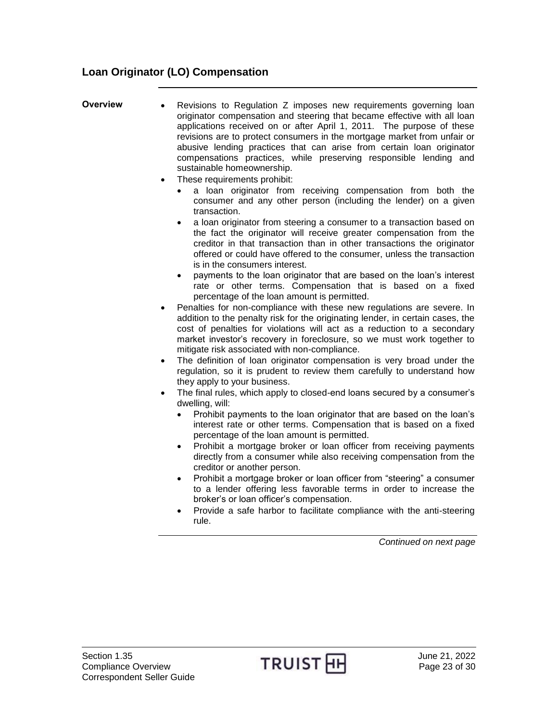### <span id="page-22-0"></span>**Loan Originator (LO) Compensation**

<span id="page-22-1"></span>

| Overview | • Revisions to Regulation Z imposes new requirements governing loan      |
|----------|--------------------------------------------------------------------------|
|          | originator compensation and steering that became effective with all loan |
|          | applications received on or after April 1, 2011. The purpose of these    |
|          | revisions are to protect consumers in the mortgage market from unfair or |
|          | abusive lending practices that can arise from certain loan originator    |
|          | compensations practices, while preserving responsible lending and        |
|          | sustainable homeownership.                                               |
|          |                                                                          |

- These requirements prohibit:
	- a loan originator from receiving compensation from both the consumer and any other person (including the lender) on a given transaction.
	- a loan originator from steering a consumer to a transaction based on the fact the originator will receive greater compensation from the creditor in that transaction than in other transactions the originator offered or could have offered to the consumer, unless the transaction is in the consumers interest.
	- payments to the loan originator that are based on the loan's interest rate or other terms. Compensation that is based on a fixed percentage of the loan amount is permitted.
- Penalties for non-compliance with these new regulations are severe. In addition to the penalty risk for the originating lender, in certain cases, the cost of penalties for violations will act as a reduction to a secondary market investor's recovery in foreclosure, so we must work together to mitigate risk associated with non-compliance.
- The definition of loan originator compensation is very broad under the regulation, so it is prudent to review them carefully to understand how they apply to your business.
- The final rules, which apply to closed-end loans secured by a consumer's dwelling, will:
	- Prohibit payments to the loan originator that are based on the loan's interest rate or other terms. Compensation that is based on a fixed percentage of the loan amount is permitted.
	- Prohibit a mortgage broker or loan officer from receiving payments directly from a consumer while also receiving compensation from the creditor or another person.
	- Prohibit a mortgage broker or loan officer from "steering" a consumer to a lender offering less favorable terms in order to increase the broker's or loan officer's compensation.
	- Provide a safe harbor to facilitate compliance with the anti-steering rule.

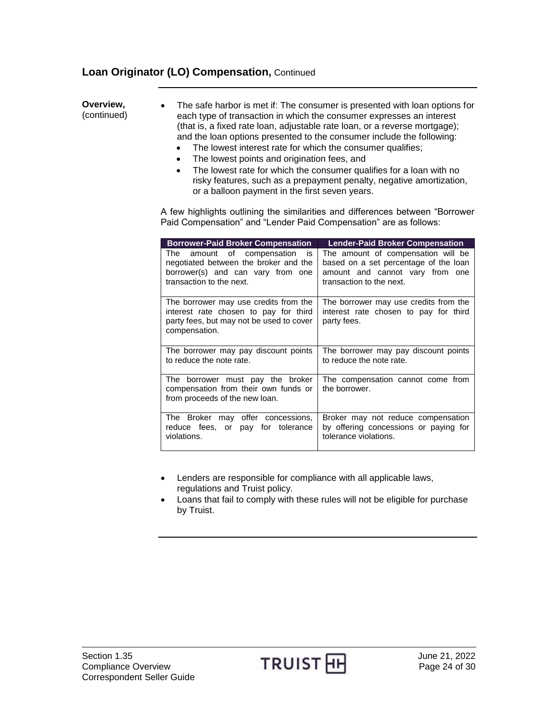### **Loan Originator (LO) Compensation,** Continued

**Overview,**  (continued) The safe harbor is met if: The consumer is presented with loan options for each type of transaction in which the consumer expresses an interest (that is, a fixed rate loan, adjustable rate loan, or a reverse mortgage); and the loan options presented to the consumer include the following: • The lowest interest rate for which the consumer qualifies;

- The lowest points and origination fees, and
- The lowest rate for which the consumer qualifies for a loan with no risky features, such as a prepayment penalty, negative amortization, or a balloon payment in the first seven years.

A few highlights outlining the similarities and differences between "Borrower Paid Compensation" and "Lender Paid Compensation" are as follows:

| <b>Borrower-Paid Broker Compensation</b>                                                                                                      | <b>Lender-Paid Broker Compensation</b>                                                                                                     |
|-----------------------------------------------------------------------------------------------------------------------------------------------|--------------------------------------------------------------------------------------------------------------------------------------------|
| amount of compensation<br>is<br>The<br>negotiated between the broker and the<br>borrower(s) and can vary from one<br>transaction to the next. | The amount of compensation will be<br>based on a set percentage of the loan<br>amount and cannot vary from one<br>transaction to the next. |
| The borrower may use credits from the<br>interest rate chosen to pay for third<br>party fees, but may not be used to cover<br>compensation.   | The borrower may use credits from the<br>interest rate chosen to pay for third<br>party fees.                                              |
| The borrower may pay discount points<br>to reduce the note rate.                                                                              | The borrower may pay discount points<br>to reduce the note rate.                                                                           |
| The borrower must pay the broker<br>compensation from their own funds or<br>from proceeds of the new loan.                                    | The compensation cannot come from<br>the borrower.                                                                                         |
| The Broker may offer concessions,<br>reduce fees, or pay for tolerance<br>violations.                                                         | Broker may not reduce compensation<br>by offering concessions or paying for<br>tolerance violations.                                       |

- Lenders are responsible for compliance with all applicable laws, regulations and Truist policy.
- Loans that fail to comply with these rules will not be eligible for purchase by Truist.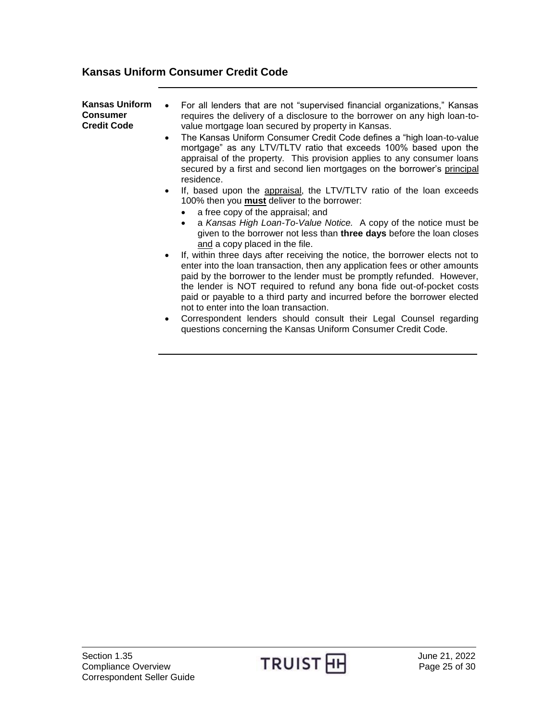### <span id="page-24-0"></span>**Kansas Uniform Consumer Credit Code**

| <b>Kansas Uniform</b><br><b>Consumer</b><br><b>Credit Code</b> | For all lenders that are not "supervised financial organizations," Kansas<br>requires the delivery of a disclosure to the borrower on any high loan-to-<br>value mortgage loan secured by property in Kansas.<br>The Kansas Uniform Consumer Credit Code defines a "high loan-to-value"<br>$\bullet$<br>mortgage" as any LTV/TLTV ratio that exceeds 100% based upon the<br>appraisal of the property. This provision applies to any consumer loans<br>secured by a first and second lien mortgages on the borrower's principal<br>residence.                                       |
|----------------------------------------------------------------|-------------------------------------------------------------------------------------------------------------------------------------------------------------------------------------------------------------------------------------------------------------------------------------------------------------------------------------------------------------------------------------------------------------------------------------------------------------------------------------------------------------------------------------------------------------------------------------|
|                                                                | If, based upon the appraisal, the LTV/TLTV ratio of the loan exceeds<br>$\bullet$<br>100% then you <b>must</b> deliver to the borrower:<br>a free copy of the appraisal; and<br>a Kansas High Loan-To-Value Notice. A copy of the notice must be<br>given to the borrower not less than three days before the loan closes<br>and a copy placed in the file.                                                                                                                                                                                                                         |
|                                                                | If, within three days after receiving the notice, the borrower elects not to<br>enter into the loan transaction, then any application fees or other amounts<br>paid by the borrower to the lender must be promptly refunded. However,<br>the lender is NOT required to refund any bona fide out-of-pocket costs<br>paid or payable to a third party and incurred before the borrower elected<br>not to enter into the loan transaction.<br>Correspondent lenders should consult their Legal Counsel regarding<br>٠<br>questions concerning the Kansas Uniform Consumer Credit Code. |

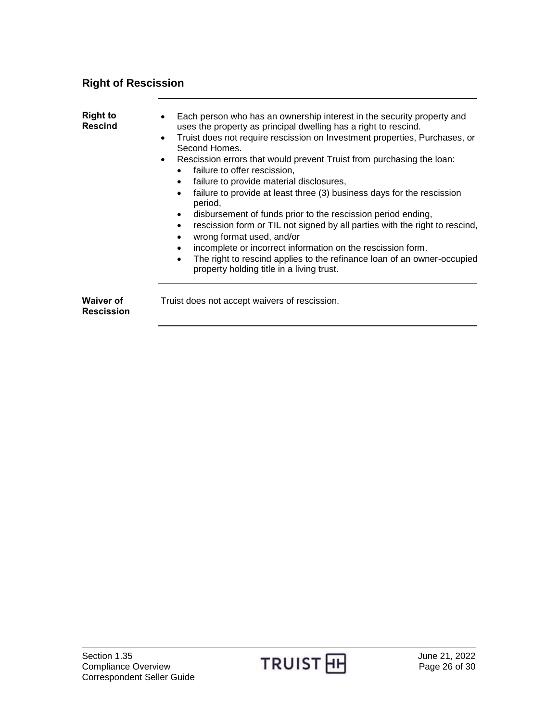# <span id="page-25-0"></span>**Right of Rescission**

<span id="page-25-2"></span><span id="page-25-1"></span>

| <b>Right to</b><br><b>Rescind</b>     | Each person who has an ownership interest in the security property and<br>uses the property as principal dwelling has a right to rescind.<br>Truist does not require rescission on Investment properties, Purchases, or<br>$\bullet$<br>Second Homes.<br>Rescission errors that would prevent Truist from purchasing the loan:<br>$\bullet$<br>failure to offer rescission,<br>failure to provide material disclosures,<br>$\bullet$<br>failure to provide at least three (3) business days for the rescission<br>$\bullet$<br>period.<br>disbursement of funds prior to the rescission period ending,<br>$\bullet$<br>rescission form or TIL not signed by all parties with the right to rescind,<br>$\bullet$<br>wrong format used, and/or<br>$\bullet$<br>incomplete or incorrect information on the rescission form.<br>$\bullet$<br>The right to rescind applies to the refinance loan of an owner-occupied<br>$\bullet$<br>property holding title in a living trust. |
|---------------------------------------|----------------------------------------------------------------------------------------------------------------------------------------------------------------------------------------------------------------------------------------------------------------------------------------------------------------------------------------------------------------------------------------------------------------------------------------------------------------------------------------------------------------------------------------------------------------------------------------------------------------------------------------------------------------------------------------------------------------------------------------------------------------------------------------------------------------------------------------------------------------------------------------------------------------------------------------------------------------------------|
| <b>Waiver of</b><br><b>Rescission</b> | Truist does not accept waivers of rescission.                                                                                                                                                                                                                                                                                                                                                                                                                                                                                                                                                                                                                                                                                                                                                                                                                                                                                                                              |

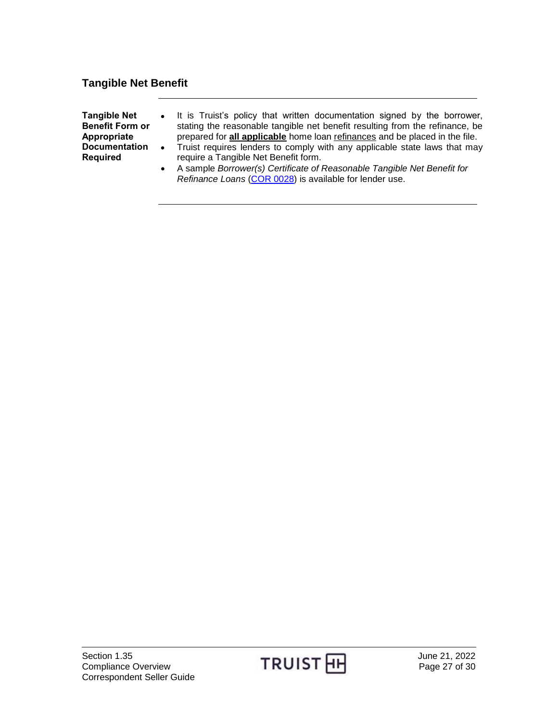### <span id="page-26-0"></span>**Tangible Net Benefit**

<span id="page-26-1"></span>

| <b>Tangible Net</b>    | • It is Truist's policy that written documentation signed by the borrower,   |
|------------------------|------------------------------------------------------------------------------|
| <b>Benefit Form or</b> | stating the reasonable tangible net benefit resulting from the refinance, be |
| Appropriate            | prepared for all applicable home loan refinances and be placed in the file.  |
| <b>Documentation</b>   | • Truist requires lenders to comply with any applicable state laws that may  |
| Required               | require a Tangible Net Benefit form.                                         |
|                        | A sample Borrower(s) Certificate of Reasonable Tangible Net Benefit for      |

*Refinance Loans* [\(COR 0028\)](http://www.truistsellerguide.com/manual/cor/forms/cor0028.pdf) is available for lender use.

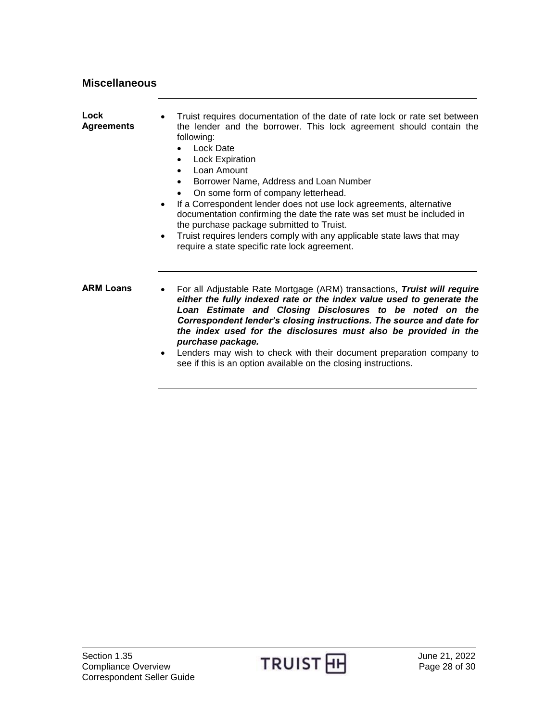<span id="page-27-1"></span>

| Lock<br><b>Agreements</b> | Truist requires documentation of the date of rate lock or rate set between<br>٠<br>the lender and the borrower. This lock agreement should contain the<br>following:<br><b>Lock Date</b><br><b>Lock Expiration</b><br>$\bullet$<br>Loan Amount<br>Borrower Name, Address and Loan Number<br>On some form of company letterhead.<br>If a Correspondent lender does not use lock agreements, alternative<br>$\bullet$<br>documentation confirming the date the rate was set must be included in<br>the purchase package submitted to Truist.<br>Truist requires lenders comply with any applicable state laws that may<br>٠<br>require a state specific rate lock agreement. |
|---------------------------|----------------------------------------------------------------------------------------------------------------------------------------------------------------------------------------------------------------------------------------------------------------------------------------------------------------------------------------------------------------------------------------------------------------------------------------------------------------------------------------------------------------------------------------------------------------------------------------------------------------------------------------------------------------------------|
| <b>ARM Loans</b>          | For all Adjustable Rate Mortgage (ARM) transactions, Truist will require<br>$\bullet$<br>either the fully indexed rate or the index value used to generate the<br>Loan Estimate and Closing Disclosures to be noted on the<br>Correspondent lender's closing instructions. The source and date for<br>the index used for the disclosures must also be provided in the<br>purchase package.<br>the contract of the contract of the contract of the contract of the contract of the contract of the contract of                                                                                                                                                              |

<span id="page-27-2"></span> Lenders may wish to check with their document preparation company to see if this is an option available on the closing instructions.

<span id="page-27-0"></span>**Miscellaneous**

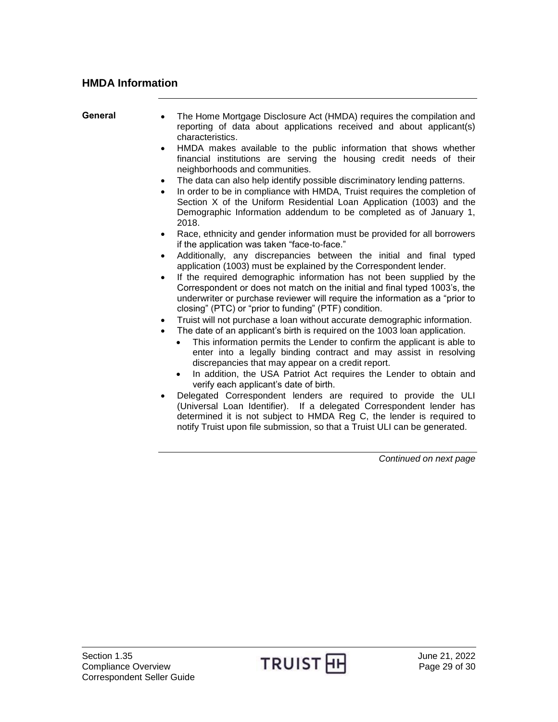#### <span id="page-28-0"></span>**HMDA Information**

<span id="page-28-1"></span>

| General | The Home Mortgage Disclosure Act (HMDA) requires the compilation and<br>reporting of data about applications received and about applicant(s)<br>characteristics.                                                                                                                            |
|---------|---------------------------------------------------------------------------------------------------------------------------------------------------------------------------------------------------------------------------------------------------------------------------------------------|
|         | HMDA makes available to the public information that shows whether<br>$\bullet$<br>financial institutions are serving the housing credit needs of their<br>neighborhoods and communities.                                                                                                    |
|         | The data can also help identify possible discriminatory lending patterns.<br>$\bullet$                                                                                                                                                                                                      |
|         | In order to be in compliance with HMDA, Truist requires the completion of<br>Section X of the Uniform Residential Loan Application (1003) and the                                                                                                                                           |
|         | Demographic Information addendum to be completed as of January 1,<br>2018.                                                                                                                                                                                                                  |
|         | Race, ethnicity and gender information must be provided for all borrowers<br>$\bullet$<br>if the application was taken "face-to-face."                                                                                                                                                      |
|         | Additionally, any discrepancies between the initial and final typed<br>$\bullet$<br>application (1003) must be explained by the Correspondent lender.                                                                                                                                       |
|         | If the required demographic information has not been supplied by the<br>Correspondent or does not match on the initial and final typed 1003's, the<br>underwriter or purchase reviewer will require the information as a "prior to<br>closing" (PTC) or "prior to funding" (PTF) condition. |
|         | Truist will not purchase a loan without accurate demographic information.<br>$\bullet$                                                                                                                                                                                                      |
|         | The date of an applicant's birth is required on the 1003 loan application.                                                                                                                                                                                                                  |
|         | This information permits the Lender to confirm the applicant is able to<br>enter into a legally binding contract and may assist in resolving                                                                                                                                                |
|         | discrepancies that may appear on a credit report.<br>In addition, the USA Patriot Act requires the Lender to obtain and<br>$\bullet$<br>verify each applicant's date of birth.                                                                                                              |
|         | Delegated Correspondent lenders are required to provide the ULI<br>(Universal Loan Identifier). If a delegated Correspondent lender has                                                                                                                                                     |

determined it is not subject to HMDA Reg C, the lender is required to notify Truist upon file submission, so that a Truist ULI can be generated.